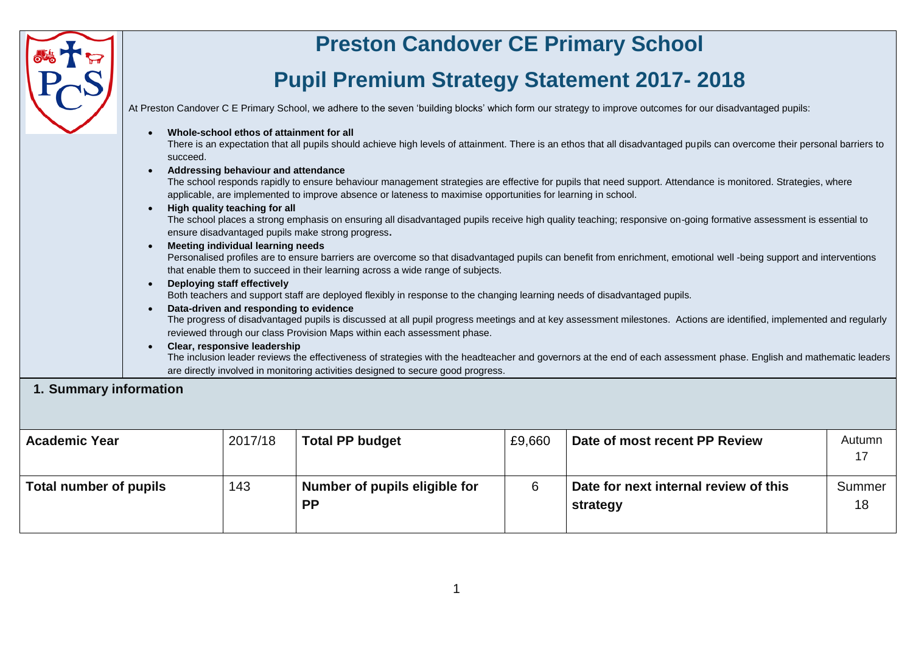| 1. Summary information        | succeed.<br>$\bullet$ | Whole-school ethos of attainment for all<br>Addressing behaviour and attendance<br>High quality teaching for all<br><b>Meeting individual learning needs</b><br>Deploying staff effectively<br>Data-driven and responding to evidence<br>Clear, responsive leadership | <b>Preston Candover CE Primary School</b><br><b>Pupil Premium Strategy Statement 2017-2018</b><br>applicable, are implemented to improve absence or lateness to maximise opportunities for learning in school.<br>ensure disadvantaged pupils make strong progress.<br>that enable them to succeed in their learning across a wide range of subjects.<br>Both teachers and support staff are deployed flexibly in response to the changing learning needs of disadvantaged pupils.<br>reviewed through our class Provision Maps within each assessment phase.<br>are directly involved in monitoring activities designed to secure good progress. |        | At Preston Candover C E Primary School, we adhere to the seven 'building blocks' which form our strategy to improve outcomes for our disadvantaged pupils:<br>There is an expectation that all pupils should achieve high levels of attainment. There is an ethos that all disadvantaged pupils can overcome their personal barriers to<br>The school responds rapidly to ensure behaviour management strategies are effective for pupils that need support. Attendance is monitored. Strategies, where<br>The school places a strong emphasis on ensuring all disadvantaged pupils receive high quality teaching; responsive on-going formative assessment is essential to<br>Personalised profiles are to ensure barriers are overcome so that disadvantaged pupils can benefit from enrichment, emotional well -being support and interventions<br>The progress of disadvantaged pupils is discussed at all pupil progress meetings and at key assessment milestones. Actions are identified, implemented and regularly<br>The inclusion leader reviews the effectiveness of strategies with the headteacher and governors at the end of each assessment phase. English and mathematic leaders |                    |
|-------------------------------|-----------------------|-----------------------------------------------------------------------------------------------------------------------------------------------------------------------------------------------------------------------------------------------------------------------|---------------------------------------------------------------------------------------------------------------------------------------------------------------------------------------------------------------------------------------------------------------------------------------------------------------------------------------------------------------------------------------------------------------------------------------------------------------------------------------------------------------------------------------------------------------------------------------------------------------------------------------------------|--------|---------------------------------------------------------------------------------------------------------------------------------------------------------------------------------------------------------------------------------------------------------------------------------------------------------------------------------------------------------------------------------------------------------------------------------------------------------------------------------------------------------------------------------------------------------------------------------------------------------------------------------------------------------------------------------------------------------------------------------------------------------------------------------------------------------------------------------------------------------------------------------------------------------------------------------------------------------------------------------------------------------------------------------------------------------------------------------------------------------------------------------------------------------------------------------------------------|--------------------|
| <b>Academic Year</b>          |                       | 2017/18                                                                                                                                                                                                                                                               | <b>Total PP budget</b>                                                                                                                                                                                                                                                                                                                                                                                                                                                                                                                                                                                                                            | £9,660 | Date of most recent PP Review                                                                                                                                                                                                                                                                                                                                                                                                                                                                                                                                                                                                                                                                                                                                                                                                                                                                                                                                                                                                                                                                                                                                                                     | Autumn             |
| <b>Total number of pupils</b> |                       | 143                                                                                                                                                                                                                                                                   | Number of pupils eligible for<br><b>PP</b>                                                                                                                                                                                                                                                                                                                                                                                                                                                                                                                                                                                                        | 6      | Date for next internal review of this<br>strategy                                                                                                                                                                                                                                                                                                                                                                                                                                                                                                                                                                                                                                                                                                                                                                                                                                                                                                                                                                                                                                                                                                                                                 | 17<br>Summer<br>18 |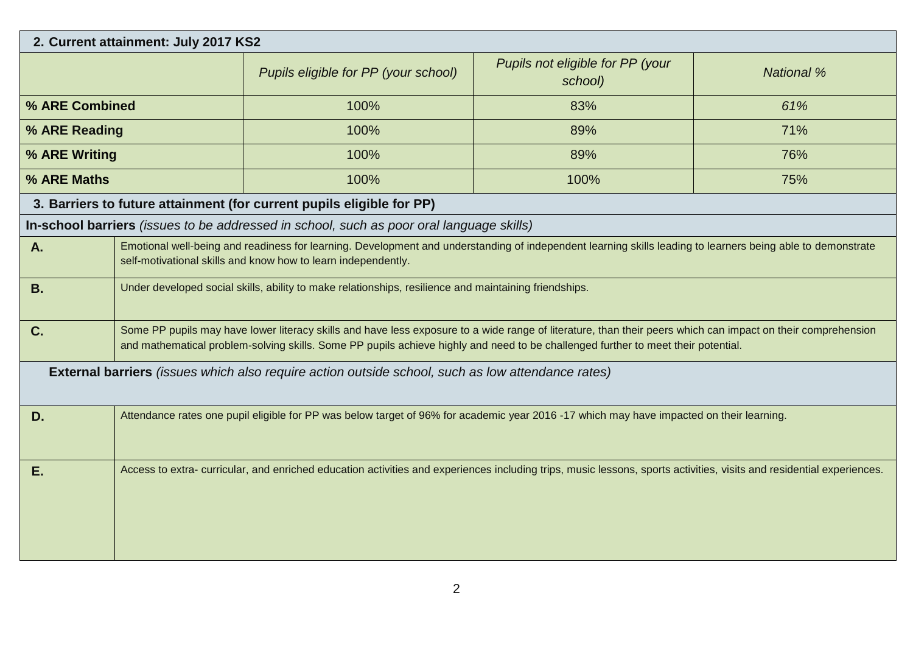|                                                                                                          | 2. Current attainment: July 2017 KS2                                                                                                                                                                                         |                                                                                                                                                                                                                                                                                                   |                                             |                   |  |  |
|----------------------------------------------------------------------------------------------------------|------------------------------------------------------------------------------------------------------------------------------------------------------------------------------------------------------------------------------|---------------------------------------------------------------------------------------------------------------------------------------------------------------------------------------------------------------------------------------------------------------------------------------------------|---------------------------------------------|-------------------|--|--|
|                                                                                                          |                                                                                                                                                                                                                              | Pupils eligible for PP (your school)                                                                                                                                                                                                                                                              | Pupils not eligible for PP (your<br>school) | <b>National %</b> |  |  |
| % ARE Combined                                                                                           |                                                                                                                                                                                                                              | 100%                                                                                                                                                                                                                                                                                              | 83%                                         | 61%               |  |  |
| % ARE Reading                                                                                            |                                                                                                                                                                                                                              | 100%                                                                                                                                                                                                                                                                                              | 89%                                         | 71%               |  |  |
| % ARE Writing                                                                                            |                                                                                                                                                                                                                              | 100%                                                                                                                                                                                                                                                                                              | 89%                                         | 76%               |  |  |
| % ARE Maths                                                                                              |                                                                                                                                                                                                                              | 100%                                                                                                                                                                                                                                                                                              | 100%                                        | 75%               |  |  |
|                                                                                                          |                                                                                                                                                                                                                              | 3. Barriers to future attainment (for current pupils eligible for PP)                                                                                                                                                                                                                             |                                             |                   |  |  |
|                                                                                                          |                                                                                                                                                                                                                              | In-school barriers (issues to be addressed in school, such as poor oral language skills)                                                                                                                                                                                                          |                                             |                   |  |  |
| A.                                                                                                       | Emotional well-being and readiness for learning. Development and understanding of independent learning skills leading to learners being able to demonstrate<br>self-motivational skills and know how to learn independently. |                                                                                                                                                                                                                                                                                                   |                                             |                   |  |  |
| <b>B.</b>                                                                                                | Under developed social skills, ability to make relationships, resilience and maintaining friendships.                                                                                                                        |                                                                                                                                                                                                                                                                                                   |                                             |                   |  |  |
| C.                                                                                                       |                                                                                                                                                                                                                              | Some PP pupils may have lower literacy skills and have less exposure to a wide range of literature, than their peers which can impact on their comprehension<br>and mathematical problem-solving skills. Some PP pupils achieve highly and need to be challenged further to meet their potential. |                                             |                   |  |  |
| <b>External barriers</b> (issues which also require action outside school, such as low attendance rates) |                                                                                                                                                                                                                              |                                                                                                                                                                                                                                                                                                   |                                             |                   |  |  |
| D.                                                                                                       | Attendance rates one pupil eligible for PP was below target of 96% for academic year 2016 -17 which may have impacted on their learning.                                                                                     |                                                                                                                                                                                                                                                                                                   |                                             |                   |  |  |
| E.                                                                                                       |                                                                                                                                                                                                                              | Access to extra- curricular, and enriched education activities and experiences including trips, music lessons, sports activities, visits and residential experiences.                                                                                                                             |                                             |                   |  |  |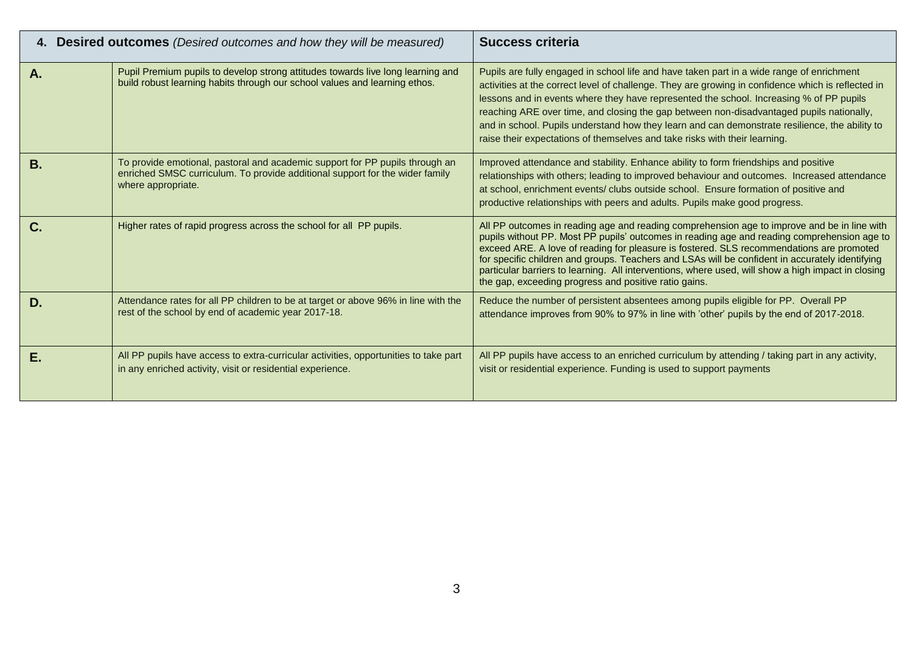|           | 4. Desired outcomes (Desired outcomes and how they will be measured)                                                                                                               | <b>Success criteria</b>                                                                                                                                                                                                                                                                                                                                                                                                                                                                                                                                                |
|-----------|------------------------------------------------------------------------------------------------------------------------------------------------------------------------------------|------------------------------------------------------------------------------------------------------------------------------------------------------------------------------------------------------------------------------------------------------------------------------------------------------------------------------------------------------------------------------------------------------------------------------------------------------------------------------------------------------------------------------------------------------------------------|
| Α.        | Pupil Premium pupils to develop strong attitudes towards live long learning and<br>build robust learning habits through our school values and learning ethos.                      | Pupils are fully engaged in school life and have taken part in a wide range of enrichment<br>activities at the correct level of challenge. They are growing in confidence which is reflected in<br>lessons and in events where they have represented the school. Increasing % of PP pupils<br>reaching ARE over time, and closing the gap between non-disadvantaged pupils nationally,<br>and in school. Pupils understand how they learn and can demonstrate resilience, the ability to<br>raise their expectations of themselves and take risks with their learning. |
| <b>B.</b> | To provide emotional, pastoral and academic support for PP pupils through an<br>enriched SMSC curriculum. To provide additional support for the wider family<br>where appropriate. | Improved attendance and stability. Enhance ability to form friendships and positive<br>relationships with others; leading to improved behaviour and outcomes. Increased attendance<br>at school, enrichment events/ clubs outside school. Ensure formation of positive and<br>productive relationships with peers and adults. Pupils make good progress.                                                                                                                                                                                                               |
| C.        | Higher rates of rapid progress across the school for all PP pupils.                                                                                                                | All PP outcomes in reading age and reading comprehension age to improve and be in line with<br>pupils without PP. Most PP pupils' outcomes in reading age and reading comprehension age to<br>exceed ARE. A love of reading for pleasure is fostered. SLS recommendations are promoted<br>for specific children and groups. Teachers and LSAs will be confident in accurately identifying<br>particular barriers to learning. All interventions, where used, will show a high impact in closing<br>the gap, exceeding progress and positive ratio gains.               |
| D.        | Attendance rates for all PP children to be at target or above 96% in line with the<br>rest of the school by end of academic year 2017-18.                                          | Reduce the number of persistent absentees among pupils eligible for PP. Overall PP<br>attendance improves from 90% to 97% in line with 'other' pupils by the end of 2017-2018.                                                                                                                                                                                                                                                                                                                                                                                         |
| Е.        | All PP pupils have access to extra-curricular activities, opportunities to take part<br>in any enriched activity, visit or residential experience.                                 | All PP pupils have access to an enriched curriculum by attending / taking part in any activity,<br>visit or residential experience. Funding is used to support payments                                                                                                                                                                                                                                                                                                                                                                                                |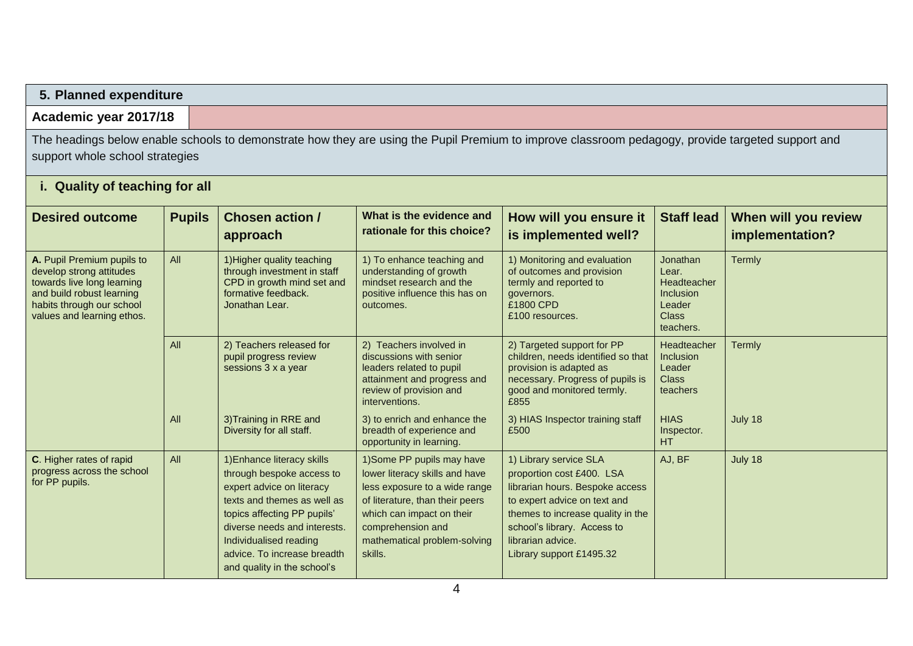## **5. Planned expenditure**

# **Academic year 2017/18**

The headings below enable schools to demonstrate how they are using the Pupil Premium to improve classroom pedagogy, provide targeted support and support whole school strategies

| <b>Desired outcome</b>                                                                                                                                                       | <b>Pupils</b> | <b>Chosen action /</b><br>approach                                                                                                                                                                                                                                         | What is the evidence and<br>rationale for this choice?                                                                                                                                                                        | How will you ensure it<br>is implemented well?                                                                                                                                                                                              | <b>Staff lead</b>                                                                                         | When will you review<br>implementation? |
|------------------------------------------------------------------------------------------------------------------------------------------------------------------------------|---------------|----------------------------------------------------------------------------------------------------------------------------------------------------------------------------------------------------------------------------------------------------------------------------|-------------------------------------------------------------------------------------------------------------------------------------------------------------------------------------------------------------------------------|---------------------------------------------------------------------------------------------------------------------------------------------------------------------------------------------------------------------------------------------|-----------------------------------------------------------------------------------------------------------|-----------------------------------------|
| A. Pupil Premium pupils to<br>develop strong attitudes<br>towards live long learning<br>and build robust learning<br>habits through our school<br>values and learning ethos. | All           | 1) Higher quality teaching<br>1) To enhance teaching and<br>understanding of growth<br>through investment in staff<br>mindset research and the<br>CPD in growth mind set and<br>formative feedback.<br>positive influence this has on<br>Jonathan Lear.<br>outcomes.       |                                                                                                                                                                                                                               | 1) Monitoring and evaluation<br>of outcomes and provision<br>termly and reported to<br>governors.<br>£1800 CPD<br>£100 resources.                                                                                                           | <b>Jonathan</b><br>Lear.<br><b>Headteacher</b><br><b>Inclusion</b><br>Leader<br><b>Class</b><br>teachers. | Termly                                  |
|                                                                                                                                                                              | AII           | 2) Teachers released for<br>pupil progress review<br>sessions 3 x a year                                                                                                                                                                                                   | 2) Teachers involved in<br>discussions with senior<br>leaders related to pupil<br>attainment and progress and<br>review of provision and<br>interventions.                                                                    | 2) Targeted support for PP<br>children, needs identified so that<br>provision is adapted as<br>necessary. Progress of pupils is<br>good and monitored termly.<br>£855                                                                       | Headteacher<br><b>Inclusion</b><br>Leader<br><b>Class</b><br>teachers                                     | Termly                                  |
|                                                                                                                                                                              | All           | 3) Training in RRE and<br>Diversity for all staff.                                                                                                                                                                                                                         | 3) to enrich and enhance the<br>breadth of experience and<br>opportunity in learning.                                                                                                                                         | 3) HIAS Inspector training staff<br>£500                                                                                                                                                                                                    | <b>HIAS</b><br>Inspector.<br><b>HT</b>                                                                    | July 18                                 |
| C. Higher rates of rapid<br>progress across the school<br>for PP pupils.                                                                                                     | All           | 1) Enhance literacy skills<br>through bespoke access to<br>expert advice on literacy<br>texts and themes as well as<br>topics affecting PP pupils'<br>diverse needs and interests.<br>Individualised reading<br>advice. To increase breadth<br>and quality in the school's | 1) Some PP pupils may have<br>lower literacy skills and have<br>less exposure to a wide range<br>of literature, than their peers<br>which can impact on their<br>comprehension and<br>mathematical problem-solving<br>skills. | 1) Library service SLA<br>proportion cost £400. LSA<br>librarian hours. Bespoke access<br>to expert advice on text and<br>themes to increase quality in the<br>school's library. Access to<br>librarian advice.<br>Library support £1495.32 | AJ, BF                                                                                                    | July 18                                 |

## **i. Quality of teaching for all**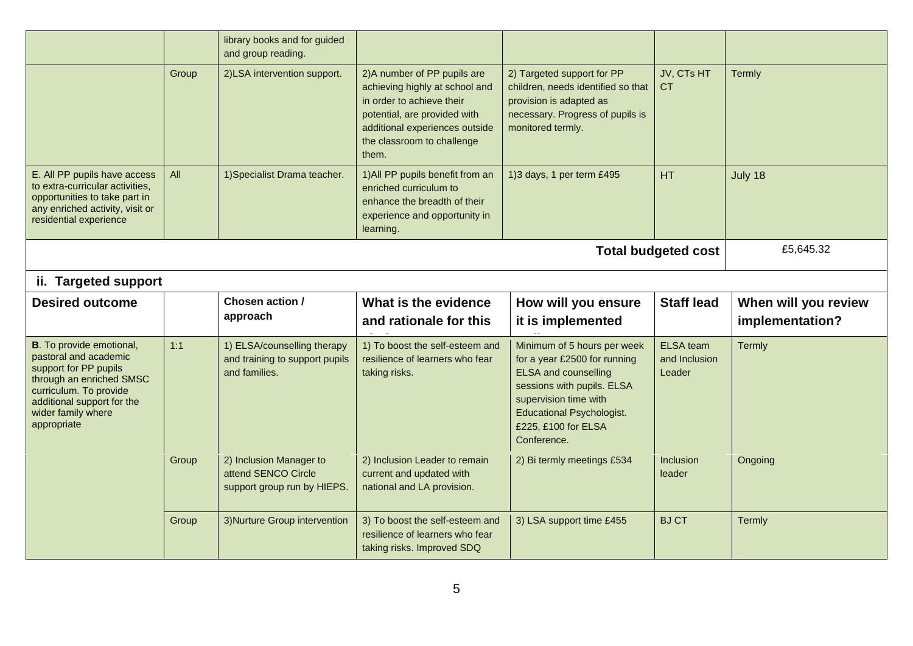|                                                                                                                                                                                                             |           | library books and for guided<br>and group reading.                             |                                                                                                                                                                                                      |                                                                                                                                                                                                                             |                                      |                                         |  |  |  |  |
|-------------------------------------------------------------------------------------------------------------------------------------------------------------------------------------------------------------|-----------|--------------------------------------------------------------------------------|------------------------------------------------------------------------------------------------------------------------------------------------------------------------------------------------------|-----------------------------------------------------------------------------------------------------------------------------------------------------------------------------------------------------------------------------|--------------------------------------|-----------------------------------------|--|--|--|--|
|                                                                                                                                                                                                             | Group     | 2)LSA intervention support.                                                    | 2) A number of PP pupils are<br>achieving highly at school and<br>in order to achieve their<br>potential, are provided with<br>additional experiences outside<br>the classroom to challenge<br>them. | 2) Targeted support for PP<br>children, needs identified so that<br>provision is adapted as<br>necessary. Progress of pupils is<br>monitored termly.                                                                        | JV, CTs HT<br><b>CT</b>              | Termly                                  |  |  |  |  |
| E. All PP pupils have access<br>to extra-curricular activities,<br>opportunities to take part in<br>any enriched activity, visit or<br>residential experience                                               | All       | 1) Specialist Drama teacher.                                                   | 1) All PP pupils benefit from an<br>enriched curriculum to<br>enhance the breadth of their<br>experience and opportunity in<br>learning.                                                             | 1)3 days, 1 per term £495                                                                                                                                                                                                   | HT                                   | July 18                                 |  |  |  |  |
|                                                                                                                                                                                                             | £5,645.32 |                                                                                |                                                                                                                                                                                                      |                                                                                                                                                                                                                             |                                      |                                         |  |  |  |  |
| ii. Targeted support                                                                                                                                                                                        |           |                                                                                |                                                                                                                                                                                                      |                                                                                                                                                                                                                             |                                      |                                         |  |  |  |  |
|                                                                                                                                                                                                             |           |                                                                                |                                                                                                                                                                                                      |                                                                                                                                                                                                                             |                                      |                                         |  |  |  |  |
| <b>Desired outcome</b>                                                                                                                                                                                      |           | Chosen action /<br>approach                                                    | What is the evidence<br>and rationale for this                                                                                                                                                       | How will you ensure<br>it is implemented                                                                                                                                                                                    | <b>Staff lead</b>                    | When will you review<br>implementation? |  |  |  |  |
| <b>B</b> . To provide emotional,<br>pastoral and academic<br>support for PP pupils<br>through an enriched SMSC<br>curriculum. To provide<br>additional support for the<br>wider family where<br>appropriate | 1:1       | 1) ELSA/counselling therapy<br>and training to support pupils<br>and families. | 1) To boost the self-esteem and<br>resilience of learners who fear<br>taking risks.                                                                                                                  | Minimum of 5 hours per week<br>for a year £2500 for running<br><b>ELSA and counselling</b><br>sessions with pupils. ELSA<br>supervision time with<br><b>Educational Psychologist.</b><br>£225, £100 for ELSA<br>Conference. | ELSA team<br>and Inclusion<br>Leader | Termly                                  |  |  |  |  |
|                                                                                                                                                                                                             | Group     | 2) Inclusion Manager to<br>attend SENCO Circle<br>support group run by HIEPS.  | 2) Inclusion Leader to remain<br>current and updated with<br>national and LA provision.                                                                                                              | 2) Bi termly meetings £534                                                                                                                                                                                                  | <b>Inclusion</b><br>leader           | Ongoing                                 |  |  |  |  |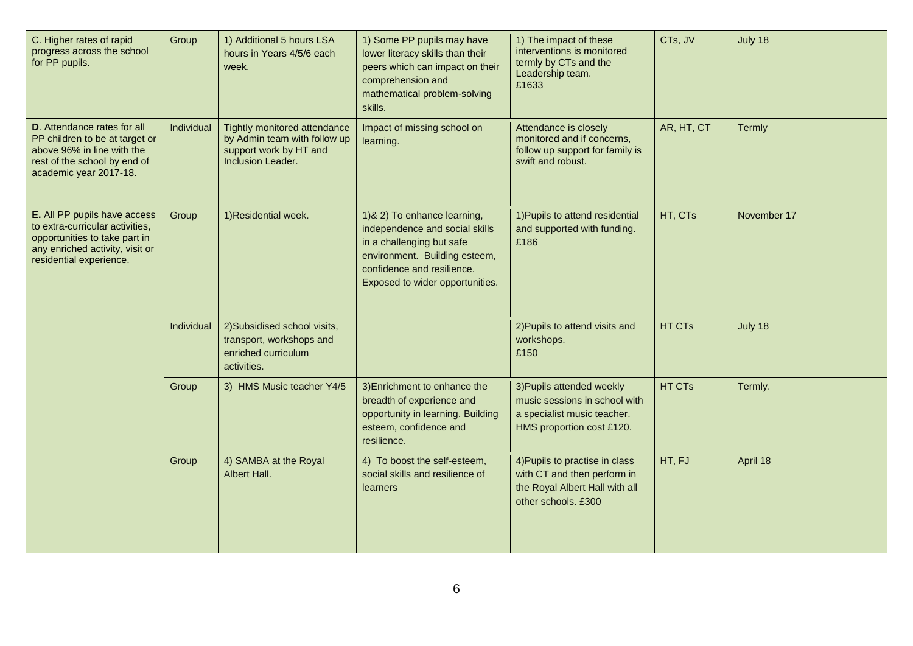| C. Higher rates of rapid<br>progress across the school<br>for PP pupils.                                                                                       | Group      | 1) Additional 5 hours LSA<br>hours in Years 4/5/6 each<br>week.                                             | 1) Some PP pupils may have<br>lower literacy skills than their<br>peers which can impact on their<br>comprehension and<br>mathematical problem-solving<br>skills.                             | 1) The impact of these<br>interventions is monitored<br>termly by CTs and the<br>Leadership team.<br>£1633             | CTs, JV    | July 18     |
|----------------------------------------------------------------------------------------------------------------------------------------------------------------|------------|-------------------------------------------------------------------------------------------------------------|-----------------------------------------------------------------------------------------------------------------------------------------------------------------------------------------------|------------------------------------------------------------------------------------------------------------------------|------------|-------------|
| <b>D.</b> Attendance rates for all<br>PP children to be at target or<br>above 96% in line with the<br>rest of the school by end of<br>academic year 2017-18.   | Individual | Tightly monitored attendance<br>by Admin team with follow up<br>support work by HT and<br>Inclusion Leader. | Impact of missing school on<br>learning.                                                                                                                                                      | Attendance is closely<br>monitored and if concerns,<br>follow up support for family is<br>swift and robust.            | AR, HT, CT | Termly      |
| E. All PP pupils have access<br>to extra-curricular activities,<br>opportunities to take part in<br>any enriched activity, visit or<br>residential experience. | Group      | 1) Residential week.                                                                                        | 1) & 2) To enhance learning,<br>independence and social skills<br>in a challenging but safe<br>environment. Building esteem,<br>confidence and resilience.<br>Exposed to wider opportunities. | 1) Pupils to attend residential<br>and supported with funding.<br>£186                                                 | HT, CTs    | November 17 |
|                                                                                                                                                                | Individual | 2) Subsidised school visits,<br>transport, workshops and<br>enriched curriculum<br>activities.              |                                                                                                                                                                                               | 2) Pupils to attend visits and<br>workshops.<br>£150                                                                   | HT CTs     | July 18     |
|                                                                                                                                                                | Group      | 3) HMS Music teacher Y4/5                                                                                   | 3) Enrichment to enhance the<br>breadth of experience and<br>opportunity in learning. Building<br>esteem, confidence and<br>resilience.                                                       | 3) Pupils attended weekly<br>music sessions in school with<br>a specialist music teacher.<br>HMS proportion cost £120. | HT CTs     | Termly.     |
|                                                                                                                                                                | Group      | 4) SAMBA at the Royal<br>Albert Hall.                                                                       | 4) To boost the self-esteem,<br>social skills and resilience of<br>learners                                                                                                                   | 4) Pupils to practise in class<br>with CT and then perform in<br>the Royal Albert Hall with all<br>other schools, £300 | HT, FJ     | April 18    |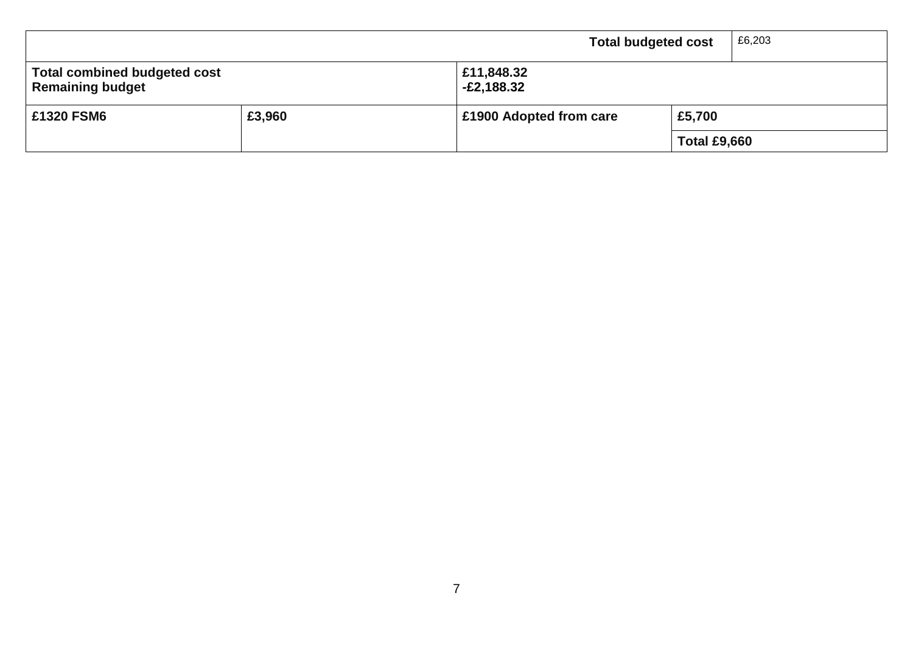|                                                                |                            | <b>Total budgeted cost</b> |                     | £6,203 |
|----------------------------------------------------------------|----------------------------|----------------------------|---------------------|--------|
| <b>Total combined budgeted cost</b><br><b>Remaining budget</b> | £11,848.32<br>$-E2,188.32$ |                            |                     |        |
| £1320 FSM6                                                     | £3,960                     | £1900 Adopted from care    | £5,700              |        |
|                                                                |                            |                            | <b>Total £9,660</b> |        |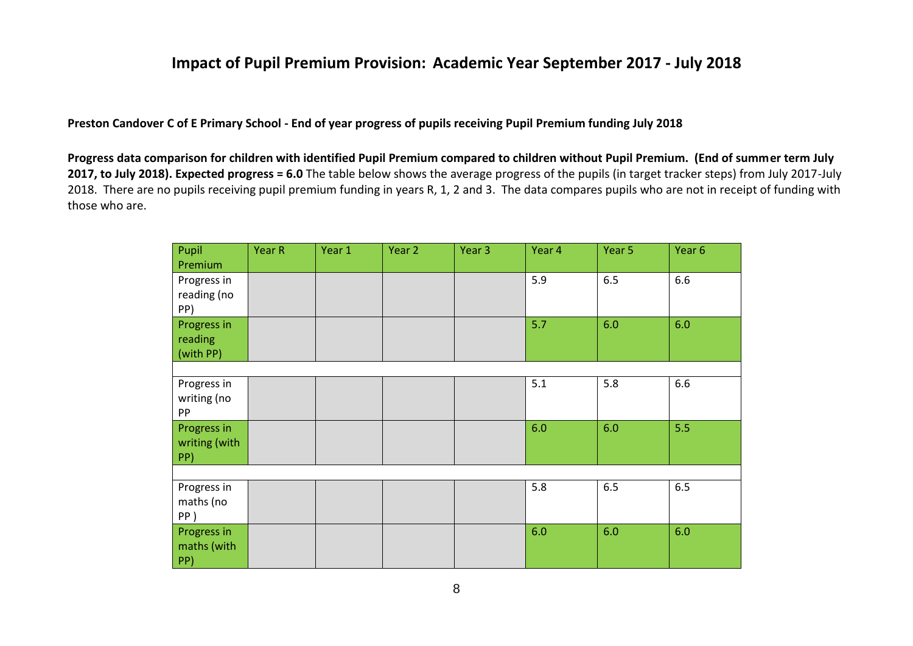#### **Impact of Pupil Premium Provision: Academic Year September 2017 - July 2018**

**Preston Candover C of E Primary School - End of year progress of pupils receiving Pupil Premium funding July 2018**

**Progress data comparison for children with identified Pupil Premium compared to children without Pupil Premium. (End of summer term July 2017, to July 2018). Expected progress = 6.0** The table below shows the average progress of the pupils (in target tracker steps) from July 2017-July 2018. There are no pupils receiving pupil premium funding in years R, 1, 2 and 3. The data compares pupils who are not in receipt of funding with those who are.

| Pupil<br>Premium                    | Year R | Year 1 | Year 2 | Year 3 | Year 4 | Year 5 | Year <sub>6</sub> |
|-------------------------------------|--------|--------|--------|--------|--------|--------|-------------------|
| Progress in<br>reading (no<br>PP)   |        |        |        |        | 5.9    | 6.5    | 6.6               |
| Progress in<br>reading<br>(with PP) |        |        |        |        | 5.7    | 6.0    | 6.0               |
|                                     |        |        |        |        |        |        |                   |
| Progress in<br>writing (no<br>PP    |        |        |        |        | 5.1    | 5.8    | 6.6               |
| Progress in<br>writing (with<br>PP) |        |        |        |        | 6.0    | 6.0    | 5.5               |
|                                     |        |        |        |        |        |        |                   |
| Progress in<br>maths (no<br>PP)     |        |        |        |        | 5.8    | 6.5    | 6.5               |
| Progress in<br>maths (with<br>PP)   |        |        |        |        | 6.0    | 6.0    | 6.0               |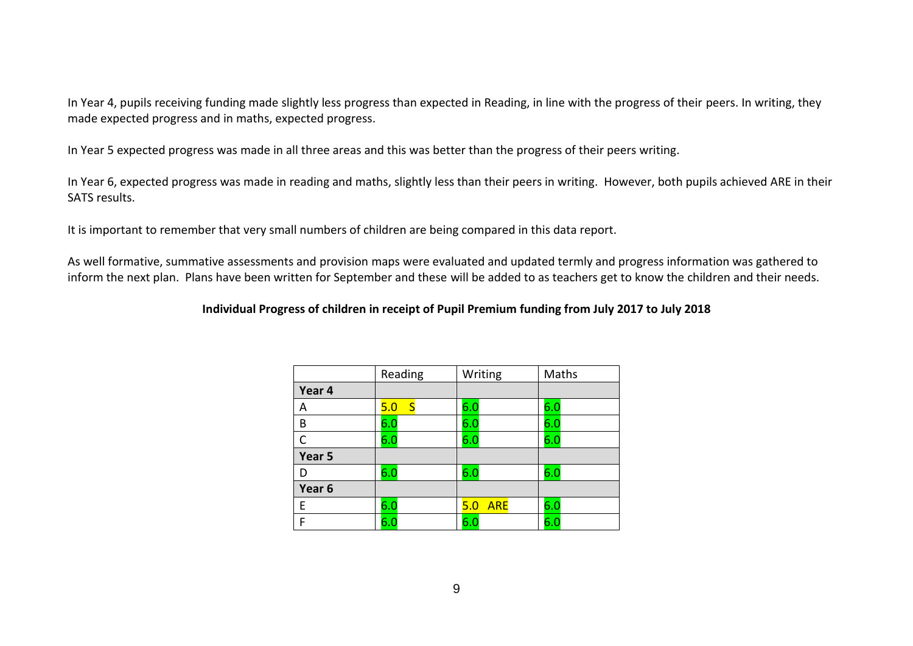In Year 4, pupils receiving funding made slightly less progress than expected in Reading, in line with the progress of their peers. In writing, they made expected progress and in maths, expected progress.

In Year 5 expected progress was made in all three areas and this was better than the progress of their peers writing.

In Year 6, expected progress was made in reading and maths, slightly less than their peers in writing. However, both pupils achieved ARE in their SATS results.

It is important to remember that very small numbers of children are being compared in this data report.

As well formative, summative assessments and provision maps were evaluated and updated termly and progress information was gathered to inform the next plan. Plans have been written for September and these will be added to as teachers get to know the children and their needs.

#### **Individual Progress of children in receipt of Pupil Premium funding from July 2017 to July 2018**

|                   | Reading   | Writing           | Maths |
|-------------------|-----------|-------------------|-------|
| Year 4            |           |                   |       |
| Α                 | 5.0<br>-S | 6.0               | 6.0   |
| B                 | 6.0       | 6.0               | 6.0   |
| C                 | 6.0       | 6.0               | 6.0   |
| Year 5            |           |                   |       |
| D                 | 6.0       | 6.0               | 6.0   |
| Year <sub>6</sub> |           |                   |       |
| E                 | 6.0       | <b>ARE</b><br>5.0 | 6.0   |
| F                 | 6.0       | 6. <sub>C</sub>   | 6.C   |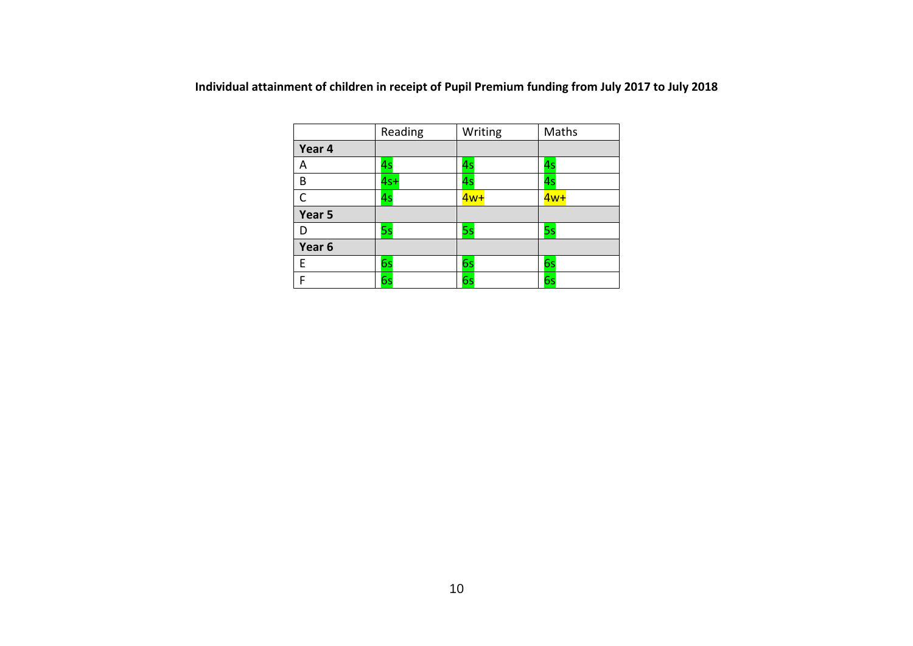| Individual attainment of children in receipt of Pupil Premium funding from July 2017 to July 2018 |  |  |  |
|---------------------------------------------------------------------------------------------------|--|--|--|
|---------------------------------------------------------------------------------------------------|--|--|--|

|              | Reading | Writing | Maths |
|--------------|---------|---------|-------|
| Year 4       |         |         |       |
| Α            | 4s      | 4s      | 4s    |
| B            | $4s+$   | 4s      | 4s    |
| $\mathsf{C}$ | 4s      | $4w+$   | $4w+$ |
| Year 5       |         |         |       |
| D            | 5s      | 5s      | 5s    |
| Year 6       |         |         |       |
| E            | 6s      | 6s      | 6s    |
| F            | 6s      | 6s      | 6s    |